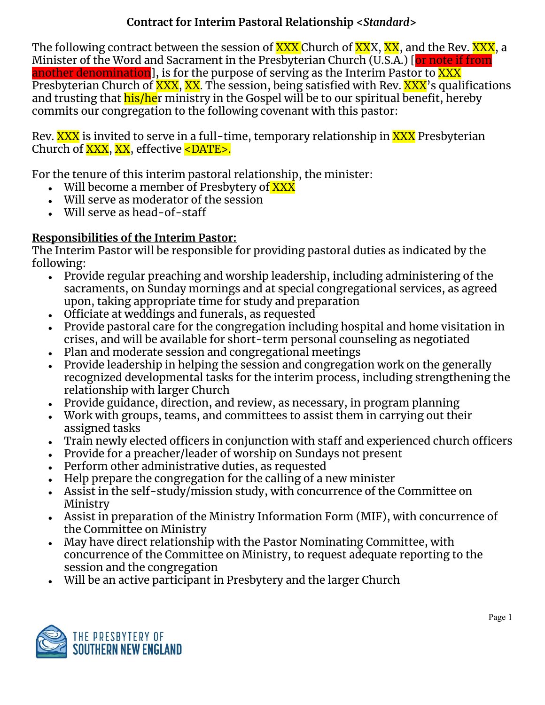### **Contract for Interim Pastoral Relationship <***Standard***>**

The following contract between the session of **XXX** Church of XXX, XX, and the Rev. XXX, a Minister of the Word and Sacrament in the Presbyterian Church (U.S.A.) [or note if from another denomination], is for the purpose of serving as the Interim Pastor to XXX Presbyterian Church of XXX, XX. The session, being satisfied with Rev. XXX's qualifications and trusting that his/her ministry in the Gospel will be to our spiritual benefit, hereby commits our congregation to the following covenant with this pastor:

Rev. XXX is invited to serve in a full-time, temporary relationship in XXX Presbyterian Church of XXX, XX, effective <DATE>.

For the tenure of this interim pastoral relationship, the minister:

- Will become a member of Presbytery of  $\overline{\text{XXX}}$
- Will serve as moderator of the session
- $\bullet$  Will serve as head-of-staff

# **Responsibilities of the Interim Pastor:**

The Interim Pastor will be responsible for providing pastoral duties as indicated by the following:

- Provide regular preaching and worship leadership, including administering of the sacraments, on Sunday mornings and at special congregational services, as agreed upon, taking appropriate time for study and preparation
- Officiate at weddings and funerals, as requested
- Provide pastoral care for the congregation including hospital and home visitation in crises, and will be available for short-term personal counseling as negotiated
- Plan and moderate session and congregational meetings
- Provide leadership in helping the session and congregation work on the generally recognized developmental tasks for the interim process, including strengthening the relationship with larger Church
- Provide guidance, direction, and review, as necessary, in program planning
- Work with groups, teams, and committees to assist them in carrying out their assigned tasks
- Train newly elected officers in conjunction with staff and experienced church officers
- Provide for a preacher/leader of worship on Sundays not present
- Perform other administrative duties, as requested
- Help prepare the congregation for the calling of a new minister
- Assist in the self-study/mission study, with concurrence of the Committee on Ministry
- Assist in preparation of the Ministry Information Form (MIF), with concurrence of the Committee on Ministry
- May have direct relationship with the Pastor Nominating Committee, with concurrence of the Committee on Ministry, to request adequate reporting to the session and the congregation
- Will be an active participant in Presbytery and the larger Church

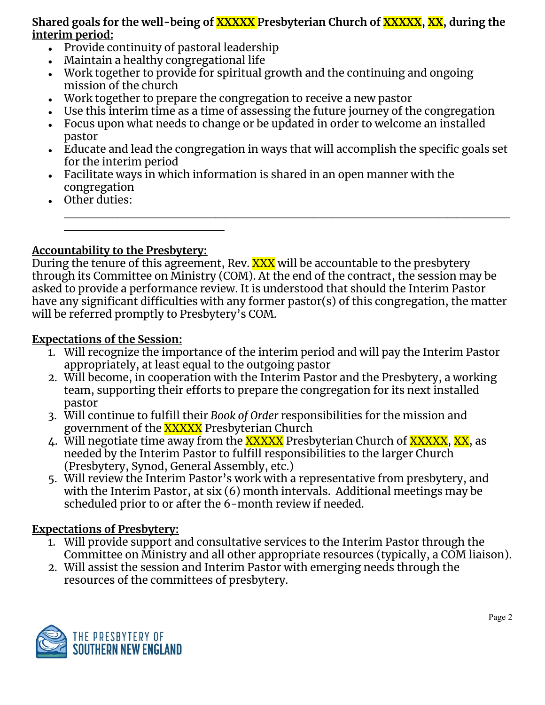#### **Shared goals for the well-being of XXXXX Presbyterian Church of XXXXX, XX, during the interim period:**

- Provide continuity of pastoral leadership
- Maintain a healthy congregational life
- Work together to provide for spiritual growth and the continuing and ongoing mission of the church
- Work together to prepare the congregation to receive a new pastor
- Use this interim time as a time of assessing the future journey of the congregation
- Focus upon what needs to change or be updated in order to welcome an installed pastor
- Educate and lead the congregation in ways that will accomplish the specific goals set for the interim period

 $\mathcal{L}_\text{max}$  , and the contract of the contract of the contract of the contract of the contract of the contract of the contract of the contract of the contract of the contract of the contract of the contract of the contr

- Facilitate ways in which information is shared in an open manner with the congregation
- Other duties:

# **Accountability to the Presbytery:**

 $\_$ 

During the tenure of this agreement, Rev. XXX will be accountable to the presbytery through its Committee on Ministry (COM). At the end of the contract, the session may be asked to provide a performance review. It is understood that should the Interim Pastor have any significant difficulties with any former pastor(s) of this congregation, the matter will be referred promptly to Presbytery's COM.

### **Expectations of the Session:**

- 1. Will recognize the importance of the interim period and will pay the Interim Pastor appropriately, at least equal to the outgoing pastor
- 2. Will become, in cooperation with the Interim Pastor and the Presbytery, a working team, supporting their efforts to prepare the congregation for its next installed pastor
- 3. Will continue to fulfill their *Book of Order* responsibilities for the mission and government of the **XXXXX** Presbyterian Church
- 4. Will negotiate time away from the XXXXX Presbyterian Church of XXXXX, XX, as needed by the Interim Pastor to fulfill responsibilities to the larger Church (Presbytery, Synod, General Assembly, etc.)
- 5. Will review the Interim Pastor's work with a representative from presbytery, and with the Interim Pastor, at six (6) month intervals. Additional meetings may be scheduled prior to or after the 6-month review if needed.

# **Expectations of Presbytery:**

- 1. Will provide support and consultative services to the Interim Pastor through the Committee on Ministry and all other appropriate resources (typically, a COM liaison).
- 2. Will assist the session and Interim Pastor with emerging needs through the resources of the committees of presbytery.

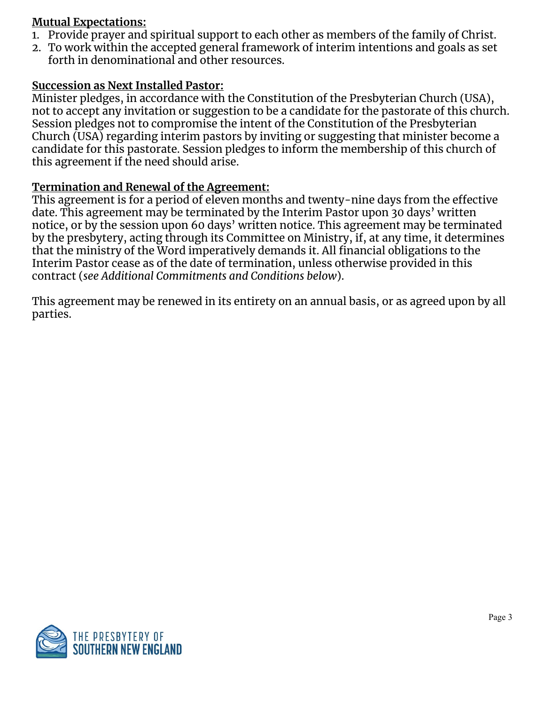#### **Mutual Expectations:**

- 1. Provide prayer and spiritual support to each other as members of the family of Christ.
- 2. To work within the accepted general framework of interim intentions and goals as set forth in denominational and other resources.

#### **Succession as Next Installed Pastor:**

Minister pledges, in accordance with the Constitution of the Presbyterian Church (USA), not to accept any invitation or suggestion to be a candidate for the pastorate of this church. Session pledges not to compromise the intent of the Constitution of the Presbyterian Church (USA) regarding interim pastors by inviting or suggesting that minister become a candidate for this pastorate. Session pledges to inform the membership of this church of this agreement if the need should arise.

### **Termination and Renewal of the Agreement:**

This agreement is for a period of eleven months and twenty-nine days from the effective date. This agreement may be terminated by the Interim Pastor upon 30 days' written notice, or by the session upon 60 days' written notice. This agreement may be terminated by the presbytery, acting through its Committee on Ministry, if, at any time, it determines that the ministry of the Word imperatively demands it. All financial obligations to the Interim Pastor cease as of the date of termination, unless otherwise provided in this contract (*see Additional Commitments and Conditions below*).

This agreement may be renewed in its entirety on an annual basis, or as agreed upon by all parties.

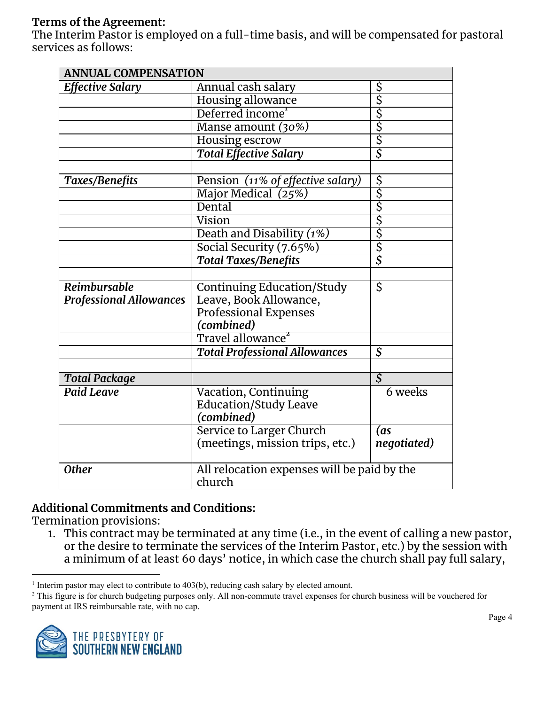#### **Terms of the Agreement:**

The Interim Pastor is employed on a full-time basis, and will be compensated for pastoral services as follows:

| <b>ANNUAL COMPENSATION</b>     |                                                       |                                                                  |  |
|--------------------------------|-------------------------------------------------------|------------------------------------------------------------------|--|
| <b>Effective Salary</b>        | Annual cash salary                                    |                                                                  |  |
|                                | Housing allowance                                     |                                                                  |  |
|                                | Deferred income <sup>1</sup>                          |                                                                  |  |
|                                | Manse amount (30%)                                    |                                                                  |  |
|                                | Housing escrow                                        | $\frac{S}{S}$ is $\frac{S}{S}$ is $\frac{S}{S}$ is $\frac{S}{S}$ |  |
|                                | <b>Total Effective Salary</b>                         |                                                                  |  |
|                                |                                                       |                                                                  |  |
| Taxes/Benefits                 | Pension (11% of effective salary)                     |                                                                  |  |
|                                | Major Medical (25%)                                   |                                                                  |  |
|                                | Dental                                                |                                                                  |  |
|                                | Vision                                                |                                                                  |  |
|                                | Death and Disability (1%)                             | s<br>s<br>s<br>s<br>s<br>s<br>s<br>s<br>s<br>s<br><br><br>       |  |
|                                | Social Security (7.65%)                               |                                                                  |  |
|                                | <b>Total Taxes/Benefits</b>                           |                                                                  |  |
|                                |                                                       |                                                                  |  |
| Reimbursable                   | <b>Continuing Education/Study</b>                     | Ś                                                                |  |
| <b>Professional Allowances</b> | Leave, Book Allowance,                                |                                                                  |  |
|                                | <b>Professional Expenses</b>                          |                                                                  |  |
|                                | (combined)                                            |                                                                  |  |
|                                | Travel allowance <sup>2</sup>                         |                                                                  |  |
|                                | <b>Total Professional Allowances</b>                  | $\mathcal{S}_{0}$                                                |  |
|                                |                                                       |                                                                  |  |
| <b>Total Package</b>           |                                                       | $\overline{\mathcal{S}}$                                         |  |
| <b>Paid Leave</b>              | Vacation, Continuing                                  | 6 weeks                                                          |  |
|                                | <b>Education/Study Leave</b>                          |                                                                  |  |
|                                | (combined)                                            |                                                                  |  |
|                                | Service to Larger Church                              | (as                                                              |  |
|                                | (meetings, mission trips, etc.)                       | negotiated)                                                      |  |
| <b>Other</b>                   | All relocation expenses will be paid by the<br>church |                                                                  |  |

### **Additional Commitments and Conditions:**

Termination provisions:

1. This contract may be terminated at any time (i.e., in the event of calling a new pastor, or the desire to terminate the services of the Interim Pastor, etc.) by the session with a minimum of at least 60 days' notice, in which case the church shall pay full salary,

<sup>&</sup>lt;sup>2</sup> This figure is for church budgeting purposes only. All non-commute travel expenses for church business will be vouchered for payment at IRS reimbursable rate, with no cap.



<sup>&</sup>lt;sup>1</sup> Interim pastor may elect to contribute to  $403(b)$ , reducing cash salary by elected amount.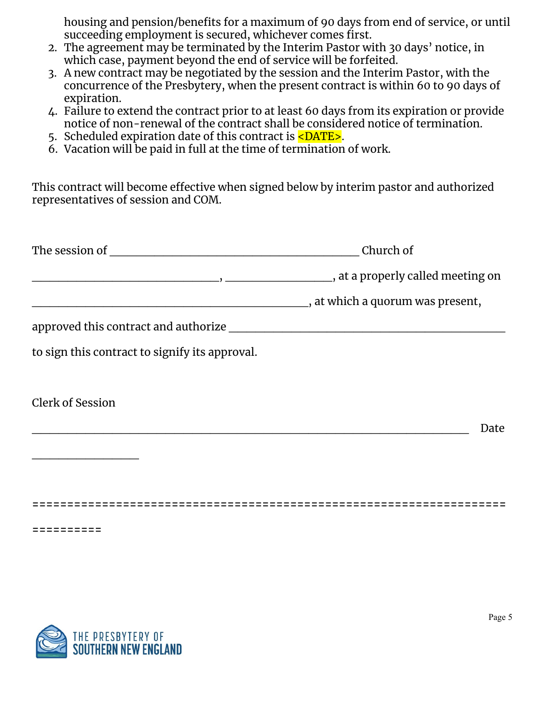housing and pension/benefits for a maximum of 90 days from end of service, or until succeeding employment is secured, whichever comes first.

- 2. The agreement may be terminated by the Interim Pastor with 30 days' notice, in which case, payment beyond the end of service will be forfeited.
- 3. A new contract may be negotiated by the session and the Interim Pastor, with the concurrence of the Presbytery, when the present contract is within 60 to 90 days of expiration.
- 4. Failure to extend the contract prior to at least 60 days from its expiration or provide notice of non-renewal of the contract shall be considered notice of termination.
- 5. Scheduled expiration date of this contract is <DATE>.
- 6. Vacation will be paid in full at the time of termination of work.

This contract will become effective when signed below by interim pastor and authorized representatives of session and COM.

| The session of | Church of                         |
|----------------|-----------------------------------|
|                | , at a properly called meeting on |
|                | at which a quorum was present,    |
|                |                                   |

approved this contract and authorize

to sign this contract to signify its approval.

Clerk of Session

 $\overline{\phantom{a}}$  , where  $\overline{\phantom{a}}$  , where  $\overline{\phantom{a}}$ 

\_\_\_\_\_\_\_\_\_\_\_\_\_\_\_\_\_\_\_\_\_\_\_\_\_\_\_\_\_\_\_\_\_\_\_\_\_\_\_\_\_\_\_\_\_\_\_\_\_ Date

**====================================================================**

**==========**